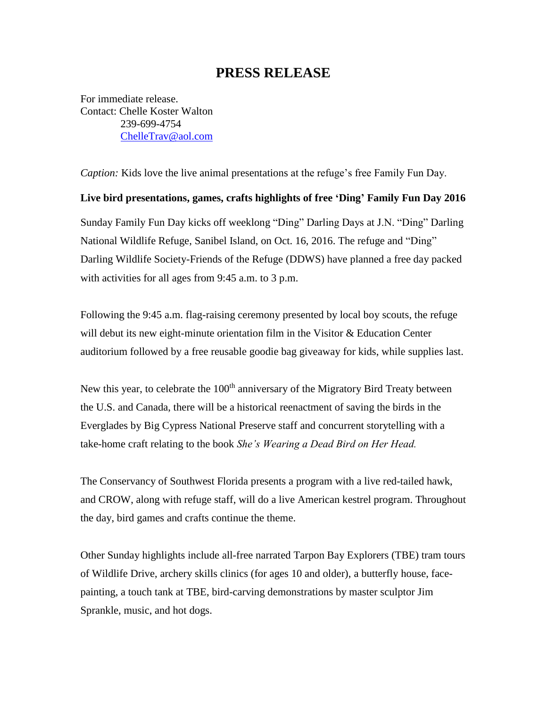# **PRESS RELEASE**

For immediate release. Contact: Chelle Koster Walton 239-699-4754 [ChelleTrav@aol.com](mailto:ChelleTrav@aol.com)

*Caption:* Kids love the live animal presentations at the refuge's free Family Fun Day.

**Live bird presentations, games, crafts highlights of free 'Ding' Family Fun Day 2016** Sunday Family Fun Day kicks off weeklong "Ding" Darling Days at J.N. "Ding" Darling National Wildlife Refuge, Sanibel Island, on Oct. 16, 2016. The refuge and "Ding" Darling Wildlife Society-Friends of the Refuge (DDWS) have planned a free day packed with activities for all ages from 9:45 a.m. to 3 p.m.

Following the 9:45 a.m. flag-raising ceremony presented by local boy scouts, the refuge will debut its new eight-minute orientation film in the Visitor  $& Education Center$ auditorium followed by a free reusable goodie bag giveaway for kids, while supplies last.

New this year, to celebrate the 100<sup>th</sup> anniversary of the Migratory Bird Treaty between the U.S. and Canada, there will be a historical reenactment of saving the birds in the Everglades by Big Cypress National Preserve staff and concurrent storytelling with a take-home craft relating to the book *She's Wearing a Dead Bird on Her Head.* 

The Conservancy of Southwest Florida presents a program with a live red-tailed hawk, and CROW, along with refuge staff, will do a live American kestrel program. Throughout the day, bird games and crafts continue the theme.

Other Sunday highlights include all-free narrated Tarpon Bay Explorers (TBE) tram tours of Wildlife Drive, archery skills clinics (for ages 10 and older), a butterfly house, facepainting, a touch tank at TBE, bird-carving demonstrations by master sculptor Jim Sprankle, music, and hot dogs.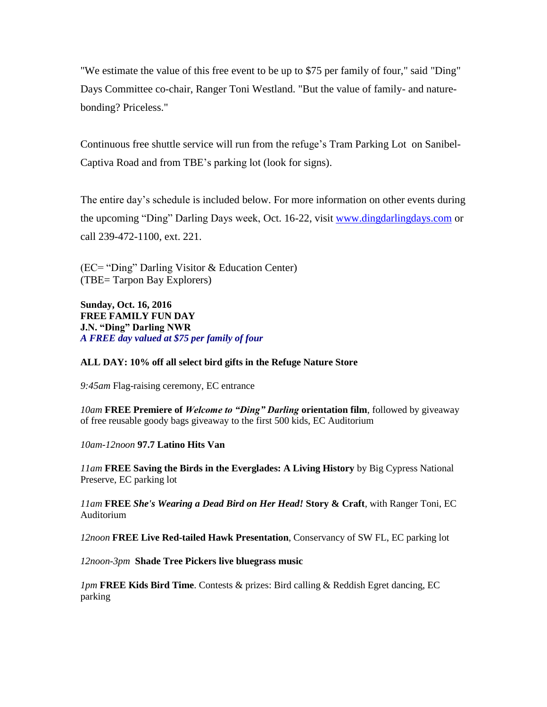"We estimate the value of this free event to be up to \$75 per family of four," said "Ding" Days Committee co-chair, Ranger Toni Westland. "But the value of family- and naturebonding? Priceless."

Continuous free shuttle service will run from the refuge's Tram Parking Lot on Sanibel-Captiva Road and from TBE's parking lot (look for signs).

The entire day's schedule is included below. For more information on other events during the upcoming "Ding" Darling Days week, Oct. 16-22, visit [www.dingdarlingdays.com](http://www.dingdarlingdays.com/) or call 239-472-1100, ext. 221.

(EC= "Ding" Darling Visitor & Education Center) (TBE= Tarpon Bay Explorers)

**Sunday, Oct. 16, 2016 FREE FAMILY FUN DAY J.N. "Ding" Darling NWR** *A FREE day valued at \$75 per family of four*

## **ALL DAY: 10% off all select bird gifts in the Refuge Nature Store**

*9:45am* Flag-raising ceremony, EC entrance

*10am* **FREE Premiere of** *Welcome to "Ding" Darling* **orientation film**, followed by giveaway of free reusable goody bags giveaway to the first 500 kids, EC Auditorium

*10am-12noon* **97.7 Latino Hits Van**

*11am* **FREE Saving the Birds in the Everglades: A Living History** by Big Cypress National Preserve, EC parking lot

*11am* **FREE** *She's Wearing a Dead Bird on Her Head!* **Story & Craft**, with Ranger Toni, EC Auditorium

*12noon* **FREE Live Red-tailed Hawk Presentation**, Conservancy of SW FL, EC parking lot

*12noon-3pm* **Shade Tree Pickers live bluegrass music**

*1pm* **FREE Kids Bird Time**. Contests & prizes: Bird calling & Reddish Egret dancing, EC parking